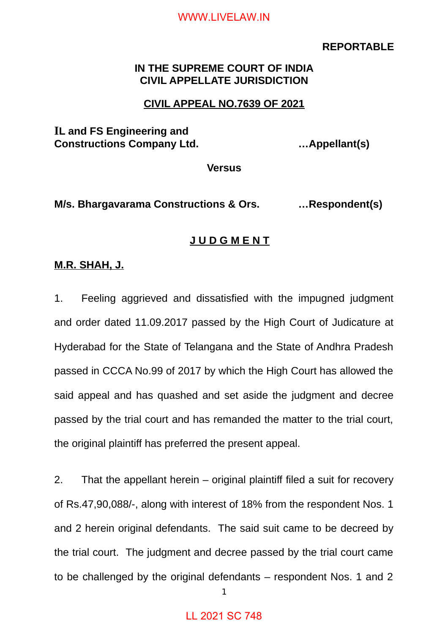#### **REPORTABLE**

## **IN THE SUPREME COURT OF INDIA CIVIL APPELLATE JURISDICTION**

### **CIVIL APPEAL NO.7639 OF 2021**

# **IL and FS Engineering and Constructions Company Ltd. …Appellant(s)**

**Versus**

**M/s. Bhargavarama Constructions & Ors. …Respondent(s)**

### **J U D G M E N T**

### **M.R. SHAH, J.**

1. Feeling aggrieved and dissatisfied with the impugned judgment and order dated 11.09.2017 passed by the High Court of Judicature at Hyderabad for the State of Telangana and the State of Andhra Pradesh passed in CCCA No.99 of 2017 by which the High Court has allowed the said appeal and has quashed and set aside the judgment and decree passed by the trial court and has remanded the matter to the trial court, the original plaintiff has preferred the present appeal.

2. That the appellant herein – original plaintiff filed a suit for recovery of Rs.47,90,088/-, along with interest of 18% from the respondent Nos. 1 and 2 herein original defendants. The said suit came to be decreed by the trial court. The judgment and decree passed by the trial court came to be challenged by the original defendants – respondent Nos. 1 and 2

1

## LL 2021 SC 748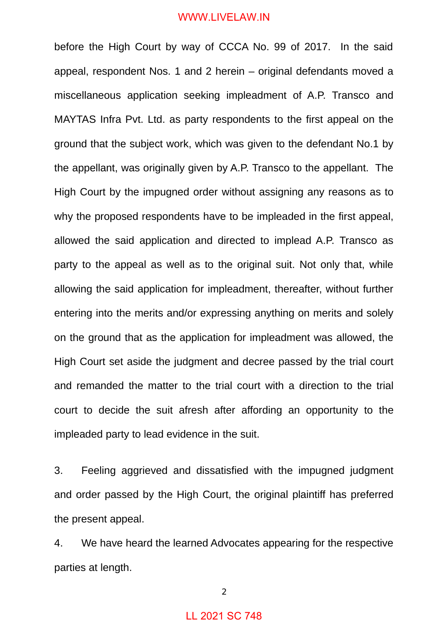before the High Court by way of CCCA No. 99 of 2017. In the said appeal, respondent Nos. 1 and 2 herein – original defendants moved a miscellaneous application seeking impleadment of A.P. Transco and MAYTAS Infra Pvt. Ltd. as party respondents to the first appeal on the ground that the subject work, which was given to the defendant No.1 by the appellant, was originally given by A.P. Transco to the appellant. The High Court by the impugned order without assigning any reasons as to why the proposed respondents have to be impleaded in the first appeal, allowed the said application and directed to implead A.P. Transco as party to the appeal as well as to the original suit. Not only that, while allowing the said application for impleadment, thereafter, without further entering into the merits and/or expressing anything on merits and solely on the ground that as the application for impleadment was allowed, the High Court set aside the judgment and decree passed by the trial court and remanded the matter to the trial court with a direction to the trial court to decide the suit afresh after affording an opportunity to the impleaded party to lead evidence in the suit.

3. Feeling aggrieved and dissatisfied with the impugned judgment and order passed by the High Court, the original plaintiff has preferred the present appeal.

4. We have heard the learned Advocates appearing for the respective parties at length.

2

# LL 2021 SC 748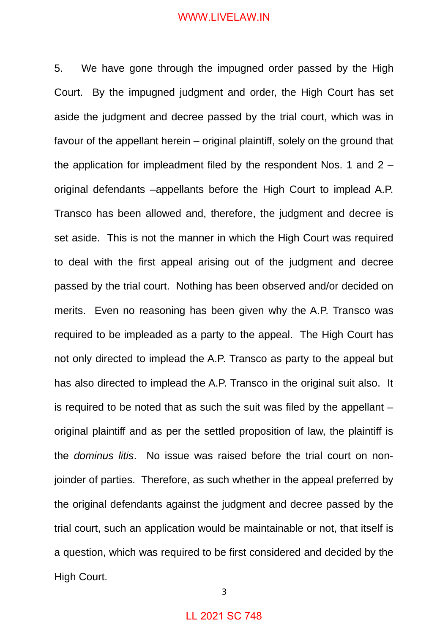5. We have gone through the impugned order passed by the High Court. By the impugned judgment and order, the High Court has set aside the judgment and decree passed by the trial court, which was in favour of the appellant herein – original plaintiff, solely on the ground that the application for impleadment filed by the respondent Nos. 1 and  $2$ original defendants –appellants before the High Court to implead A.P. Transco has been allowed and, therefore, the judgment and decree is set aside. This is not the manner in which the High Court was required to deal with the first appeal arising out of the judgment and decree passed by the trial court. Nothing has been observed and/or decided on merits. Even no reasoning has been given why the A.P. Transco was required to be impleaded as a party to the appeal. The High Court has not only directed to implead the A.P. Transco as party to the appeal but has also directed to implead the A.P. Transco in the original suit also. It is required to be noted that as such the suit was filed by the appellant – original plaintiff and as per the settled proposition of law, the plaintiff is the *dominus litis*. No issue was raised before the trial court on nonjoinder of parties. Therefore, as such whether in the appeal preferred by the original defendants against the judgment and decree passed by the trial court, such an application would be maintainable or not, that itself is a question, which was required to be first considered and decided by the High Court.

3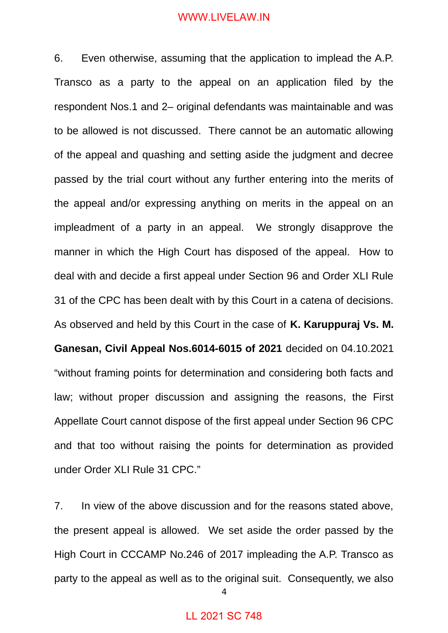6. Even otherwise, assuming that the application to implead the A.P. Transco as a party to the appeal on an application filed by the respondent Nos.1 and 2– original defendants was maintainable and was to be allowed is not discussed. There cannot be an automatic allowing of the appeal and quashing and setting aside the judgment and decree passed by the trial court without any further entering into the merits of the appeal and/or expressing anything on merits in the appeal on an impleadment of a party in an appeal. We strongly disapprove the manner in which the High Court has disposed of the appeal. How to deal with and decide a first appeal under Section 96 and Order XLI Rule 31 of the CPC has been dealt with by this Court in a catena of decisions. As observed and held by this Court in the case of **K. Karuppuraj Vs. M. Ganesan, Civil Appeal Nos.6014-6015 of 2021** decided on 04.10.2021 "without framing points for determination and considering both facts and law; without proper discussion and assigning the reasons, the First Appellate Court cannot dispose of the first appeal under Section 96 CPC and that too without raising the points for determination as provided under Order XLI Rule 31 CPC."

7. In view of the above discussion and for the reasons stated above, the present appeal is allowed. We set aside the order passed by the High Court in CCCAMP No.246 of 2017 impleading the A.P. Transco as party to the appeal as well as to the original suit. Consequently, we also

4

## LL 2021 SC 748